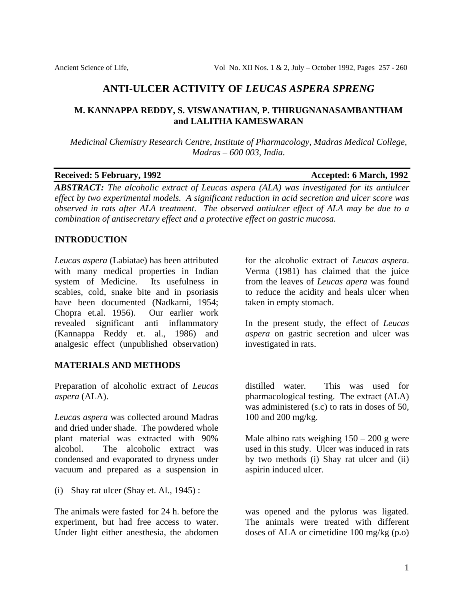# **ANTI-ULCER ACTIVITY OF** *LEUCAS ASPERA SPRENG*

# **M. KANNAPPA REDDY, S. VISWANATHAN, P. THIRUGNANASAMBANTHAM and LALITHA KAMESWARAN**

*Medicinal Chemistry Research Centre, Institute of Pharmacology, Madras Medical College, Madras – 600 003, India.* 

#### **Received: 5 February, 1992 Accepted: 6 March, 1992**

*ABSTRACT: The alcoholic extract of Leucas aspera (ALA) was investigated for its antiulcer effect by two experimental models. A significant reduction in acid secretion and ulcer score was observed in rats after ALA treatment. The observed antiulcer effect of ALA may be due to a combination of antisecretary effect and a protective effect on gastric mucosa.* 

# **INTRODUCTION**

*Leucas aspera* (Labiatae) has been attributed with many medical properties in Indian system of Medicine. Its usefulness in scabies, cold, snake bite and in psoriasis have been documented (Nadkarni, 1954; Chopra et.al. 1956). Our earlier work revealed significant anti inflammatory (Kannappa Reddy et. al., 1986) and analgesic effect (unpublished observation)

# **MATERIALS AND METHODS**

Preparation of alcoholic extract of *Leucas aspera* (ALA).

*Leucas aspera* was collected around Madras and dried under shade. The powdered whole plant material was extracted with 90% alcohol. The alcoholic extract was condensed and evaporated to dryness under vacuum and prepared as a suspension in

(i) Shay rat ulcer (Shay et. Al., 1945) :

The animals were fasted for 24 h. before the experiment, but had free access to water. Under light either anesthesia, the abdomen

for the alcoholic extract of *Leucas aspera*. Verma (1981) has claimed that the juice from the leaves of *Leucas apera* was found to reduce the acidity and heals ulcer when taken in empty stomach.

In the present study, the effect of *Leucas aspera* on gastric secretion and ulcer was investigated in rats.

distilled water. This was used for pharmacological testing. The extract (ALA) was administered (s.c) to rats in doses of 50, 100 and 200 mg/kg.

Male albino rats weighing  $150 - 200$  g were used in this study. Ulcer was induced in rats by two methods (i) Shay rat ulcer and (ii) aspirin induced ulcer.

was opened and the pylorus was ligated. The animals were treated with different doses of ALA or cimetidine 100 mg/kg (p.o)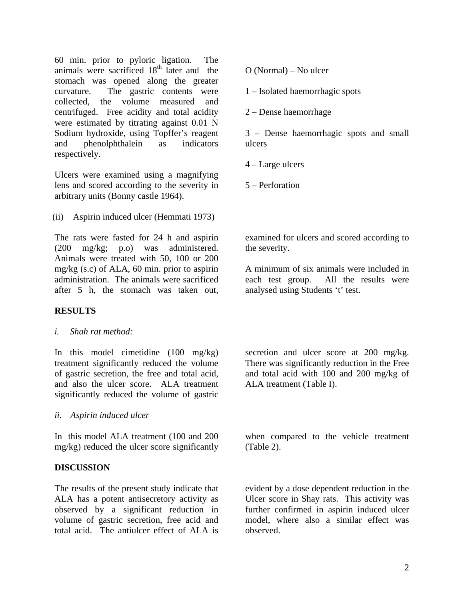60 min. prior to pyloric ligation. The animals were sacrificed  $18<sup>th</sup>$  later and the stomach was opened along the greater curvature. The gastric contents were collected, the volume measured and centrifuged. Free acidity and total acidity were estimated by titrating against 0.01 N Sodium hydroxide, using Topffer's reagent and phenolphthalein as indicators respectively.

Ulcers were examined using a magnifying lens and scored according to the severity in arbitrary units (Bonny castle 1964).

(ii) Aspirin induced ulcer (Hemmati 1973)

The rats were fasted for 24 h and aspirin (200 mg/kg; p.o) was administered. Animals were treated with 50, 100 or 200 mg/kg (s.c) of ALA, 60 min. prior to aspirin administration. The animals were sacrificed after 5 h, the stomach was taken out,

# **RESULTS**

*i. Shah rat method:* 

In this model cimetidine (100 mg/kg) treatment significantly reduced the volume of gastric secretion, the free and total acid, and also the ulcer score. ALA treatment significantly reduced the volume of gastric

*ii. Aspirin induced ulcer* 

In this model ALA treatment (100 and 200 mg/kg) reduced the ulcer score significantly

# **DISCUSSION**

The results of the present study indicate that ALA has a potent antisecretory activity as observed by a significant reduction in volume of gastric secretion, free acid and total acid. The antiulcer effect of ALA is

O (Normal) – No ulcer

1 – Isolated haemorrhagic spots

2 – Dense haemorrhage

3 – Dense haemorrhagic spots and small ulcers

4 – Large ulcers

5 – Perforation

examined for ulcers and scored according to the severity.

A minimum of six animals were included in each test group. All the results were analysed using Students 't' test.

secretion and ulcer score at 200 mg/kg. There was significantly reduction in the Free and total acid with 100 and 200 mg/kg of ALA treatment (Table I).

when compared to the vehicle treatment (Table 2).

evident by a dose dependent reduction in the Ulcer score in Shay rats. This activity was further confirmed in aspirin induced ulcer model, where also a similar effect was observed.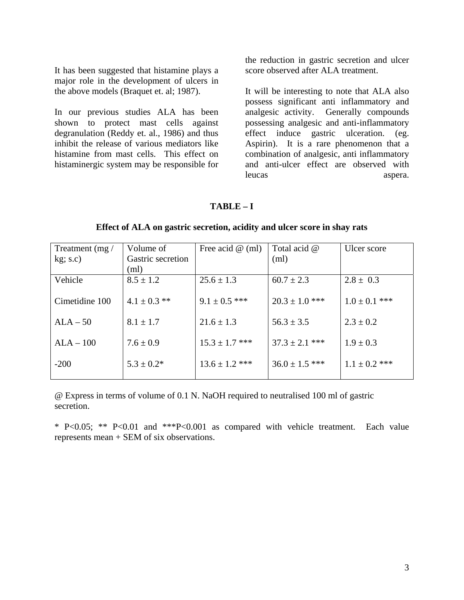It has been suggested that histamine plays a major role in the development of ulcers in the above models (Braquet et. al; 1987).

In our previous studies ALA has been shown to protect mast cells against degranulation (Reddy et. al., 1986) and thus inhibit the release of various mediators like histamine from mast cells. This effect on histaminergic system may be responsible for

the reduction in gastric secretion and ulcer score observed after ALA treatment.

It will be interesting to note that ALA also possess significant anti inflammatory and analgesic activity. Generally compounds possessing analgesic and anti-inflammatory effect induce gastric ulceration. (eg. Aspirin). It is a rare phenomenon that a combination of analgesic, anti inflammatory and anti-ulcer effect are observed with leucas aspera.

## **TABLE – I**

| Treatment (mg/ | Volume of         | Free acid $\omega$ (ml) | Total acid @       | Ulcer score       |
|----------------|-------------------|-------------------------|--------------------|-------------------|
| $kg$ ; s.c)    | Gastric secretion |                         | (ml)               |                   |
|                | (ml)              |                         |                    |                   |
| Vehicle        | $8.5 \pm 1.2$     | $25.6 \pm 1.3$          | $60.7 \pm 2.3$     | $2.8 \pm 0.3$     |
|                |                   |                         |                    |                   |
| Cimetidine 100 | $4.1 \pm 0.3$ **  | $9.1 \pm 0.5$ ***       | $20.3 \pm 1.0$ *** | $1.0 \pm 0.1$ *** |
|                |                   |                         |                    |                   |
| $ALA - 50$     | $8.1 \pm 1.7$     | $21.6 \pm 1.3$          | $56.3 \pm 3.5$     | $2.3 \pm 0.2$     |
|                |                   |                         |                    |                   |
| $ALA - 100$    | $7.6 \pm 0.9$     | $15.3 \pm 1.7$ ***      | $37.3 \pm 2.1$ *** | $1.9 \pm 0.3$     |
|                |                   |                         |                    |                   |
| $-200$         | $5.3 \pm 0.2^*$   | $13.6 \pm 1.2$ ***      | $36.0 \pm 1.5$ *** | $1.1 \pm 0.2$ *** |
|                |                   |                         |                    |                   |

**Effect of ALA on gastric secretion, acidity and ulcer score in shay rats** 

@ Express in terms of volume of 0.1 N. NaOH required to neutralised 100 ml of gastric secretion.

\* P<0.05; \*\* P<0.01 and \*\*\*P<0.001 as compared with vehicle treatment. Each value represents mean + SEM of six observations.